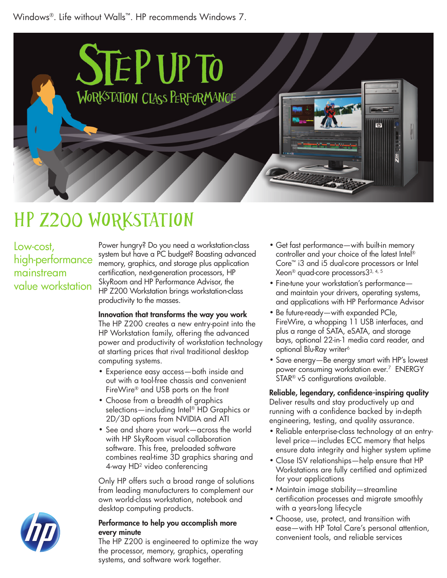Windows®. Life without Walls™. HP recommends Windows 7.



# HP z200 Workstation

### Low-cost, high-performance mainstream value workstation

Power hungry? Do you need a workstation-class system but have a PC budget? Boasting advanced memory, graphics, and storage plus application certification, next-generation processors, HP SkyRoom and HP Performance Advisor, the HP Z200 Workstation brings workstation-class productivity to the masses.

#### Innovation that transforms the way you work

The HP Z200 creates a new entry-point into the HP Workstation family, offering the advanced power and productivity of workstation technology at starting prices that rival traditional desktop computing systems.

- Experience easy access—both inside and out with a tool-free chassis and convenient FireWire® and USB ports on the front
- Choose from a breadth of graphics selections—including Intel® HD Graphics or 2D/3D options from NVIDIA and ATI
- See and share your work—across the world with HP SkyRoom visual collaboration software. This free, preloaded software combines real-time 3D graphics sharing and 4-way HD2 video conferencing

Only HP offers such a broad range of solutions from leading manufacturers to complement our own world-class workstation, notebook and desktop computing products.

#### Performance to help you accomplish more every minute

The HP Z200 is engineered to optimize the way the processor, memory, graphics, operating systems, and software work together.

- Get fast performance—with built-in memory controller and your choice of the latest Intel® Core™ i3 and i5 dual-core processors or Intel Xeon® quad-core processors33, 4, 5
- Fine-tune your workstation's performance and maintain your drivers, operating systems, and applications with HP Performance Advisor
- Be future-ready—with expanded PCIe, FireWire, a whopping 11 USB interfaces, and plus a range of SATA, eSATA, and storage bays, optional 22-in-1 media card reader, and optional Blu-Ray writer<sup>6</sup>
- Save energy—Be energy smart with HP's lowest power consuming workstation ever.7 ENERGY STAR® v5 configurations available.

#### Reliable, legendary, confidence-inspiring quality Deliver results and stay productively up and running with a confidence backed by in-depth engineering, testing, and quality assurance.

- Reliable enterprise-class technology at an entrylevel price—includes ECC memory that helps ensure data integrity and higher system uptime
- Close ISV relationships—help ensure that HP Workstations are fully certified and optimized for your applications
- Maintain image stability—streamline certification processes and migrate smoothly with a years-long lifecycle
- Choose, use, protect, and transition with ease—with HP Total Care's personal attention, convenient tools, and reliable services